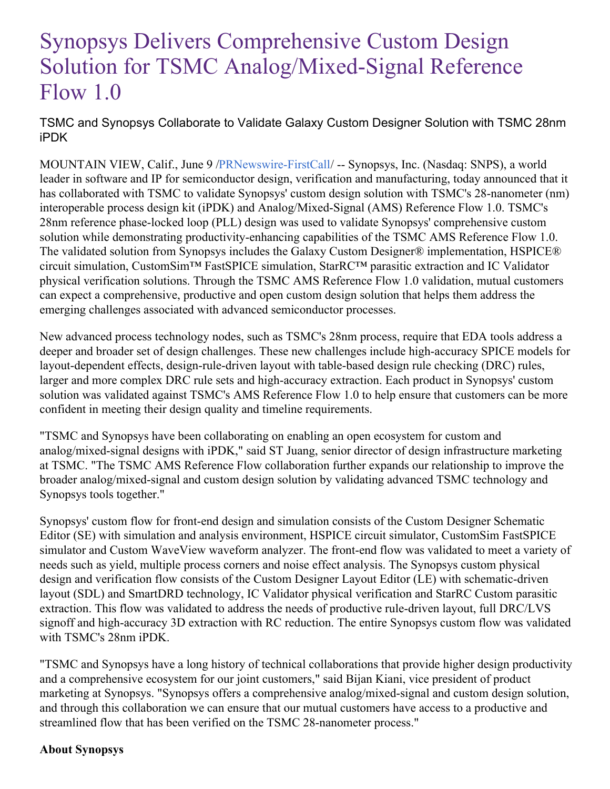## Synopsys Delivers Comprehensive Custom Design Solution for TSMC Analog/Mixed-Signal Reference Flow 1.0

TSMC and Synopsys Collaborate to Validate Galaxy Custom Designer Solution with TSMC 28nm iPDK

MOUNTAIN VIEW, Calif., June 9 [/PRNewswire-FirstCall](http://www.prnewswire.com/)/ -- Synopsys, Inc. (Nasdaq: SNPS), a world leader in software and IP for semiconductor design, verification and manufacturing, today announced that it has collaborated with TSMC to validate Synopsys' custom design solution with TSMC's 28-nanometer (nm) interoperable process design kit (iPDK) and Analog/Mixed-Signal (AMS) Reference Flow 1.0. TSMC's 28nm reference phase-locked loop (PLL) design was used to validate Synopsys' comprehensive custom solution while demonstrating productivity-enhancing capabilities of the TSMC AMS Reference Flow 1.0. The validated solution from Synopsys includes the Galaxy Custom Designer® implementation, HSPICE® circuit simulation, CustomSim™ FastSPICE simulation, StarRC™ parasitic extraction and IC Validator physical verification solutions. Through the TSMC AMS Reference Flow 1.0 validation, mutual customers can expect a comprehensive, productive and open custom design solution that helps them address the emerging challenges associated with advanced semiconductor processes.

New advanced process technology nodes, such as TSMC's 28nm process, require that EDA tools address a deeper and broader set of design challenges. These new challenges include high-accuracy SPICE models for layout-dependent effects, design-rule-driven layout with table-based design rule checking (DRC) rules, larger and more complex DRC rule sets and high-accuracy extraction. Each product in Synopsys' custom solution was validated against TSMC's AMS Reference Flow 1.0 to help ensure that customers can be more confident in meeting their design quality and timeline requirements.

"TSMC and Synopsys have been collaborating on enabling an open ecosystem for custom and analog/mixed-signal designs with iPDK," said ST Juang, senior director of design infrastructure marketing at TSMC. "The TSMC AMS Reference Flow collaboration further expands our relationship to improve the broader analog/mixed-signal and custom design solution by validating advanced TSMC technology and Synopsys tools together."

Synopsys' custom flow for front-end design and simulation consists of the Custom Designer Schematic Editor (SE) with simulation and analysis environment, HSPICE circuit simulator, CustomSim FastSPICE simulator and Custom WaveView waveform analyzer. The front-end flow was validated to meet a variety of needs such as yield, multiple process corners and noise effect analysis. The Synopsys custom physical design and verification flow consists of the Custom Designer Layout Editor (LE) with schematic-driven layout (SDL) and SmartDRD technology, IC Validator physical verification and StarRC Custom parasitic extraction. This flow was validated to address the needs of productive rule-driven layout, full DRC/LVS signoff and high-accuracy 3D extraction with RC reduction. The entire Synopsys custom flow was validated with TSMC's 28nm iPDK.

"TSMC and Synopsys have a long history of technical collaborations that provide higher design productivity and a comprehensive ecosystem for our joint customers," said Bijan Kiani, vice president of product marketing at Synopsys. "Synopsys offers a comprehensive analog/mixed-signal and custom design solution, and through this collaboration we can ensure that our mutual customers have access to a productive and streamlined flow that has been verified on the TSMC 28-nanometer process."

## **About Synopsys**